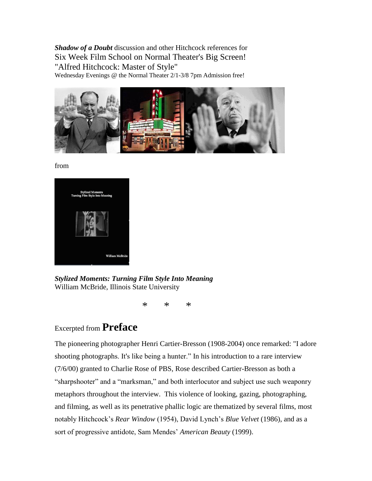*Shadow of a Doubt* discussion and other Hitchcock references for Six Week Film School on Normal Theater's Big Screen! "Alfred Hitchcock: Master of Style" Wednesday Evenings @ the Normal Theater 2/1-3/8 7pm Admission free!



from



*Stylized Moments: Turning Film Style Into Meaning* William McBride, Illinois State University

\* \* \*

## Excerpted from **Preface**

The pioneering photographer Henri Cartier-Bresson (1908-2004) once remarked: "I adore shooting photographs. It's like being a hunter." In his introduction to a rare interview (7/6/00) granted to Charlie Rose of PBS, Rose described Cartier-Bresson as both a "sharpshooter" and a "marksman," and both interlocutor and subject use such weaponry metaphors throughout the interview. This violence of looking, gazing, photographing, and filming, as well as its penetrative phallic logic are thematized by several films, most notably Hitchcock's *Rear Window* (1954), David Lynch's *Blue Velvet* (1986), and as a sort of progressive antidote, Sam Mendes' *American Beauty* (1999).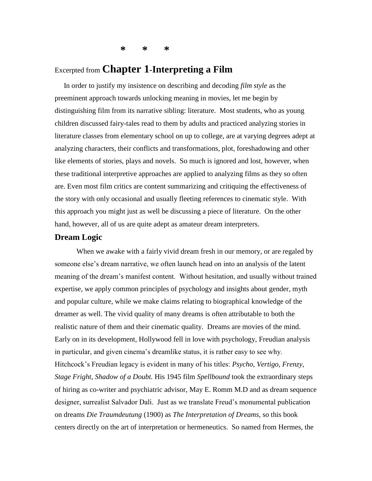**\* \* \***

## Excerpted from **Chapter 1-Interpreting a Film**

 In order to justify my insistence on describing and decoding *film style* as the preeminent approach towards unlocking meaning in movies, let me begin by distinguishing film from its narrative sibling: literature. Most students, who as young children discussed fairy-tales read to them by adults and practiced analyzing stories in literature classes from elementary school on up to college, are at varying degrees adept at analyzing characters, their conflicts and transformations, plot, foreshadowing and other like elements of stories, plays and novels. So much is ignored and lost, however, when these traditional interpretive approaches are applied to analyzing films as they so often are. Even most film critics are content summarizing and critiquing the effectiveness of the story with only occasional and usually fleeting references to cinematic style. With this approach you might just as well be discussing a piece of literature. On the other hand, however, all of us are quite adept as amateur dream interpreters.

### **Dream Logic**

When we awake with a fairly vivid dream fresh in our memory, or are regaled by someone else's dream narrative, we often launch head on into an analysis of the latent meaning of the dream's manifest content. Without hesitation, and usually without trained expertise, we apply common principles of psychology and insights about gender, myth and popular culture, while we make claims relating to biographical knowledge of the dreamer as well. The vivid quality of many dreams is often attributable to both the realistic nature of them and their cinematic quality. Dreams are movies of the mind. Early on in its development, Hollywood fell in love with psychology, Freudian analysis in particular, and given cinema's dreamlike status, it is rather easy to see why. Hitchcock's Freudian legacy is evident in many of his titles: *Psycho, Vertigo, Frenzy, Stage Fright, Shadow of a Doubt.* His 1945 film *Spellbound* took the extraordinary steps of hiring as co-writer and psychiatric advisor, May E. Romm M.D and as dream sequence designer, surrealist Salvador Dali. Just as we translate Freud's monumental publication on dreams *Die Traumdeutung* (1900) as *The Interpretation of Dreams*, so this book centers directly on the art of interpretation or hermeneutics. So named from Hermes, the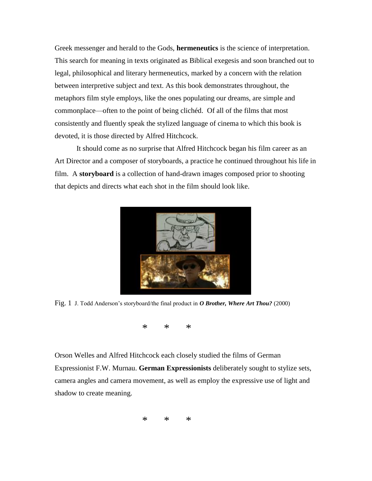Greek messenger and herald to the Gods, **hermeneutics** is the science of interpretation. This search for meaning in texts originated as Biblical exegesis and soon branched out to legal, philosophical and literary hermeneutics, marked by a concern with the relation between interpretive subject and text. As this book demonstrates throughout, the metaphors film style employs, like the ones populating our dreams, are simple and commonplace—often to the point of being clichéd. Of all of the films that most consistently and fluently speak the stylized language of cinema to which this book is devoted, it is those directed by Alfred Hitchcock.

It should come as no surprise that Alfred Hitchcock began his film career as an Art Director and a composer of storyboards, a practice he continued throughout his life in film. A **storyboard** is a collection of hand-drawn images composed prior to shooting that depicts and directs what each shot in the film should look like.



Fig. 1 J. Todd Anderson's storyboard/the final product in *O Brother, Where Art Thou?* (2000)

\* \* \*

Orson Welles and Alfred Hitchcock each closely studied the films of German Expressionist F.W. Murnau. **German Expressionists** deliberately sought to stylize sets, camera angles and camera movement, as well as employ the expressive use of light and shadow to create meaning.

$$
\ast\qquad \ast\qquad \ast
$$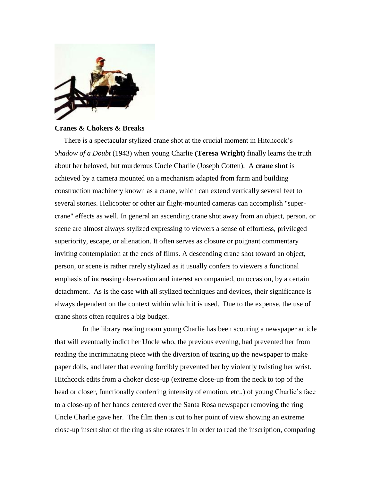

#### **Cranes & Chokers & Breaks**

 There is a spectacular stylized crane shot at the crucial moment in Hitchcock's *Shadow of a Doubt* (1943) when young Charlie **(Teresa Wright)** finally learns the truth about her beloved, but murderous Uncle Charlie (Joseph Cotten). A **crane shot** is achieved by a camera mounted on a mechanism adapted from farm and building construction machinery known as a crane, which can extend vertically several feet to several stories. Helicopter or other air flight-mounted cameras can accomplish "supercrane" effects as well. In general an ascending crane shot away from an object, person, or scene are almost always stylized expressing to viewers a sense of effortless, privileged superiority, escape, or alienation. It often serves as closure or poignant commentary inviting contemplation at the ends of films. A descending crane shot toward an object, person, or scene is rather rarely stylized as it usually confers to viewers a functional emphasis of increasing observation and interest accompanied, on occasion, by a certain detachment. As is the case with all stylized techniques and devices, their significance is always dependent on the context within which it is used. Due to the expense, the use of crane shots often requires a big budget.

In the library reading room young Charlie has been scouring a newspaper article that will eventually indict her Uncle who, the previous evening, had prevented her from reading the incriminating piece with the diversion of tearing up the newspaper to make paper dolls, and later that evening forcibly prevented her by violently twisting her wrist. Hitchcock edits from a choker close-up (extreme close-up from the neck to top of the head or closer, functionally conferring intensity of emotion, etc.,) of young Charlie's face to a close-up of her hands centered over the Santa Rosa newspaper removing the ring Uncle Charlie gave her. The film then is cut to her point of view showing an extreme close-up insert shot of the ring as she rotates it in order to read the inscription, comparing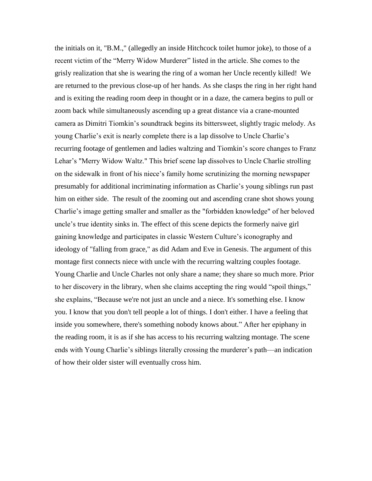the initials on it, "B.M.," (allegedly an inside Hitchcock toilet humor joke), to those of a recent victim of the "Merry Widow Murderer" listed in the article. She comes to the grisly realization that she is wearing the ring of a woman her Uncle recently killed! We are returned to the previous close-up of her hands. As she clasps the ring in her right hand and is exiting the reading room deep in thought or in a daze, the camera begins to pull or zoom back while simultaneously ascending up a great distance via a crane-mounted camera as Dimitri Tiomkin's soundtrack begins its bittersweet, slightly tragic melody. As young Charlie's exit is nearly complete there is a lap dissolve to Uncle Charlie's recurring footage of gentlemen and ladies waltzing and Tiomkin's score changes to Franz Lehar's "Merry Widow Waltz." This brief scene lap dissolves to Uncle Charlie strolling on the sidewalk in front of his niece's family home scrutinizing the morning newspaper presumably for additional incriminating information as Charlie's young siblings run past him on either side. The result of the zooming out and ascending crane shot shows young Charlie's image getting smaller and smaller as the "forbidden knowledge" of her beloved uncle's true identity sinks in. The effect of this scene depicts the formerly naive girl gaining knowledge and participates in classic Western Culture's iconography and ideology of "falling from grace," as did Adam and Eve in Genesis. The argument of this montage first connects niece with uncle with the recurring waltzing couples footage. Young Charlie and Uncle Charles not only share a name; they share so much more. Prior to her discovery in the library, when she claims accepting the ring would "spoil things," she explains, "Because we're not just an uncle and a niece. It's something else. I know you. I know that you don't tell people a lot of things. I don't either. I have a feeling that inside you somewhere, there's something nobody knows about." After her epiphany in the reading room, it is as if she has access to his recurring waltzing montage. The scene ends with Young Charlie's siblings literally crossing the murderer's path—an indication of how their older sister will eventually cross him.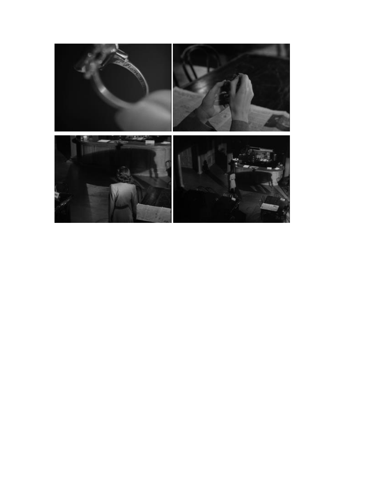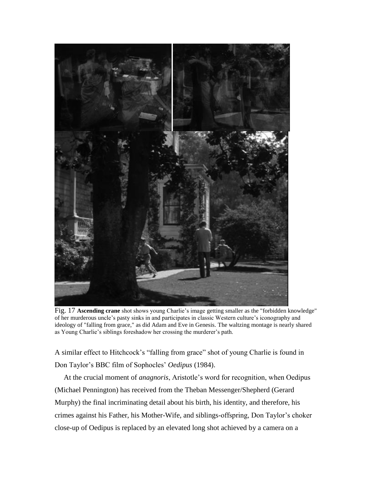

Fig. 17 **Ascending crane** shot shows young Charlie's image getting smaller as the "forbidden knowledge" of her murderous uncle's pasty sinks in and participates in classic Western culture's iconography and ideology of "falling from grace," as did Adam and Eve in Genesis. The waltzing montage is nearly shared as Young Charlie's siblings foreshadow her crossing the murderer's path.

A similar effect to Hitchcock's "falling from grace" shot of young Charlie is found in Don Taylor's BBC film of Sophocles' *Oedipus* (1984).

 At the crucial moment of *anagnoris*, Aristotle's word for recognition, when Oedipus (Michael Pennington) has received from the Theban Messenger/Shepherd (Gerard Murphy) the final incriminating detail about his birth, his identity, and therefore, his crimes against his Father, his Mother-Wife, and siblings-offspring, Don Taylor's choker close-up of Oedipus is replaced by an elevated long shot achieved by a camera on a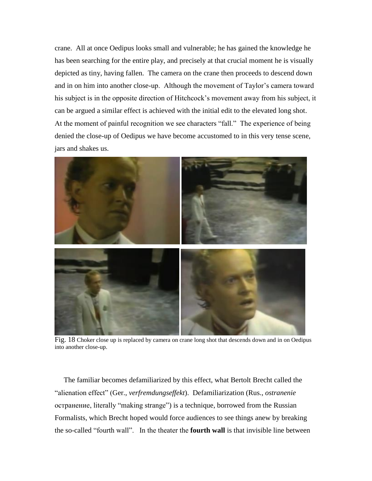crane. All at once Oedipus looks small and vulnerable; he has gained the knowledge he has been searching for the entire play, and precisely at that crucial moment he is visually depicted as tiny, having fallen. The camera on the crane then proceeds to descend down and in on him into another close-up. Although the movement of Taylor's camera toward his subject is in the opposite direction of Hitchcock's movement away from his subject, it can be argued a similar effect is achieved with the initial edit to the elevated long shot. At the moment of painful recognition we see characters "fall." The experience of being denied the close-up of Oedipus we have become accustomed to in this very tense scene, jars and shakes us.



Fig. 18 Choker close up is replaced by camera on crane long shot that descends down and in on Oedipus into another close-up.

 The familiar becomes defamiliarized by this effect, what Bertolt Brecht called the "alienation effect" (Ger., *verfremdungseffekt*). Defamiliarization (Rus., *ostranenie* остранение, literally "making strange") is a technique, borrowed from the Russian Formalists, which Brecht hoped would force audiences to see things anew by breaking the so-called "fourth wall". In the theater the **fourth wall** is that invisible line between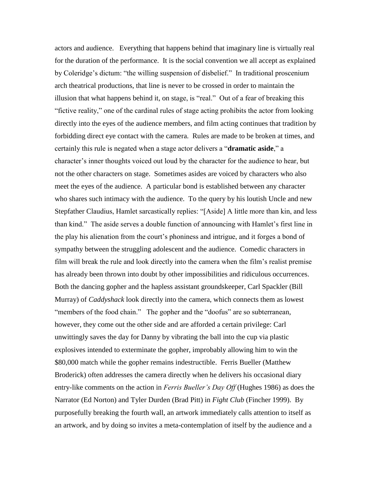actors and audience. Everything that happens behind that imaginary line is virtually real for the duration of the performance. It is the social convention we all accept as explained by Coleridge's dictum: "the willing suspension of disbelief." In traditional proscenium arch theatrical productions, that line is never to be crossed in order to maintain the illusion that what happens behind it, on stage, is "real." Out of a fear of breaking this "fictive reality," one of the cardinal rules of stage acting prohibits the actor from looking directly into the eyes of the audience members, and film acting continues that tradition by forbidding direct eye contact with the camera. Rules are made to be broken at times, and certainly this rule is negated when a stage actor delivers a "**dramatic aside**," a character's inner thoughts voiced out loud by the character for the audience to hear, but not the other characters on stage. Sometimes asides are voiced by characters who also meet the eyes of the audience. A particular bond is established between any character who shares such intimacy with the audience. To the query by his loutish Uncle and new Stepfather Claudius, Hamlet sarcastically replies: "[Aside] A little more than kin, and less than kind." The aside serves a double function of announcing with Hamlet's first line in the play his alienation from the court's phoniness and intrigue, and it forges a bond of sympathy between the struggling adolescent and the audience. Comedic characters in film will break the rule and look directly into the camera when the film's realist premise has already been thrown into doubt by other impossibilities and ridiculous occurrences. Both the dancing gopher and the hapless assistant groundskeeper, Carl Spackler (Bill Murray) of *Caddyshack* look directly into the camera, which connects them as lowest "members of the food chain." The gopher and the "doofus" are so subterranean, however, they come out the other side and are afforded a certain privilege: Carl unwittingly saves the day for Danny by vibrating the ball into the cup via plastic explosives intended to exterminate the gopher, improbably allowing him to win the \$80,000 match while the gopher remains indestructible. Ferris Bueller (Matthew Broderick) often addresses the camera directly when he delivers his occasional diary entry-like comments on the action in *Ferris Bueller's Day Off* (Hughes 1986) as does the Narrator (Ed Norton) and Tyler Durden (Brad Pitt) in *Fight Club* (Fincher 1999). By purposefully breaking the fourth wall, an artwork immediately calls attention to itself as an artwork, and by doing so invites a meta-contemplation of itself by the audience and a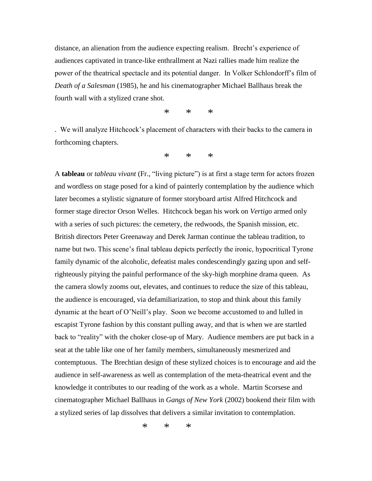distance, an alienation from the audience expecting realism. Brecht's experience of audiences captivated in trance-like enthrallment at Nazi rallies made him realize the power of the theatrical spectacle and its potential danger. In Volker Schlondorff's film of *Death of a Salesman* (1985), he and his cinematographer Michael Ballhaus break the fourth wall with a stylized crane shot.

\* \* \*

. We will analyze Hitchcock's placement of characters with their backs to the camera in forthcoming chapters.

\* \* \*

A **tableau** or *tableau vivant* (Fr., "living picture") is at first a stage term for actors frozen and wordless on stage posed for a kind of painterly contemplation by the audience which later becomes a stylistic signature of former storyboard artist Alfred Hitchcock and former stage director Orson Welles. Hitchcock began his work on *Vertigo* armed only with a series of such pictures: the cemetery, the redwoods, the Spanish mission, etc. British directors Peter Greenaway and Derek Jarman continue the tableau tradition, to name but two. This scene's final tableau depicts perfectly the ironic, hypocritical Tyrone family dynamic of the alcoholic, defeatist males condescendingly gazing upon and selfrighteously pitying the painful performance of the sky-high morphine drama queen. As the camera slowly zooms out, elevates, and continues to reduce the size of this tableau, the audience is encouraged, via defamiliarization, to stop and think about this family dynamic at the heart of O'Neill's play. Soon we become accustomed to and lulled in escapist Tyrone fashion by this constant pulling away, and that is when we are startled back to "reality" with the choker close-up of Mary. Audience members are put back in a seat at the table like one of her family members, simultaneously mesmerized and contemptuous. The Brechtian design of these stylized choices is to encourage and aid the audience in self-awareness as well as contemplation of the meta-theatrical event and the knowledge it contributes to our reading of the work as a whole. Martin Scorsese and cinematographer Michael Ballhaus in *Gangs of New York* (2002) bookend their film with a stylized series of lap dissolves that delivers a similar invitation to contemplation.

\* \* \*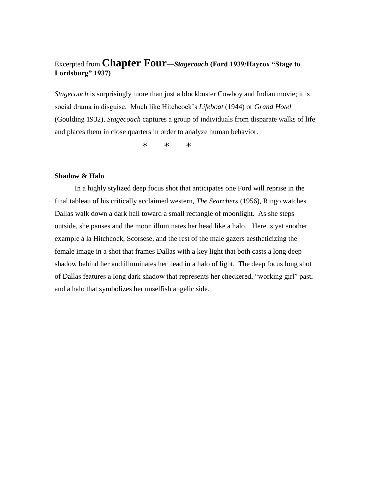### Excerpted from **Chapter Four—***Stagecoach* **(Ford 1939/Haycox "Stage to Lordsburg" 1937)**

*Stagecoach* is surprisingly more than just a blockbuster Cowboy and Indian movie; it is social drama in disguise. Much like Hitchcock's *Lifeboat* (1944) or *Grand Hotel* (Goulding 1932), *Stagecoach* captures a group of individuals from disparate walks of life and places them in close quarters in order to analyze human behavior.

\* \* \*

#### **Shadow & Halo**

In a highly stylized deep focus shot that anticipates one Ford will reprise in the final tableau of his critically acclaimed western, *The Searchers* (1956), Ringo watches Dallas walk down a dark hall toward a small rectangle of moonlight. As she steps outside, she pauses and the moon illuminates her head like a halo. Here is yet another example à la Hitchcock, Scorsese, and the rest of the male gazers aestheticizing the female image in a shot that frames Dallas with a key light that both casts a long deep shadow behind her and illuminates her head in a halo of light. The deep focus long shot of Dallas features a long dark shadow that represents her checkered, "working girl" past, and a halo that symbolizes her unselfish angelic side.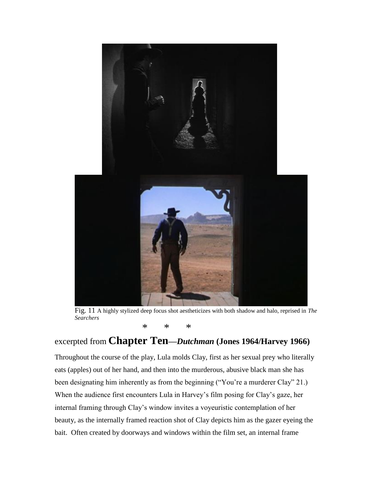

Fig. 11 A highly stylized deep focus shot aestheticizes with both shadow and halo, reprised in *The Searchers*

# \* \* \*

# excerpted from **Chapter Ten—***Dutchman* **(Jones 1964/Harvey 1966)**

Throughout the course of the play, Lula molds Clay, first as her sexual prey who literally eats (apples) out of her hand, and then into the murderous, abusive black man she has been designating him inherently as from the beginning ("You're a murderer Clay" 21.) When the audience first encounters Lula in Harvey's film posing for Clay's gaze, her internal framing through Clay's window invites a voyeuristic contemplation of her beauty, as the internally framed reaction shot of Clay depicts him as the gazer eyeing the bait. Often created by doorways and windows within the film set, an internal frame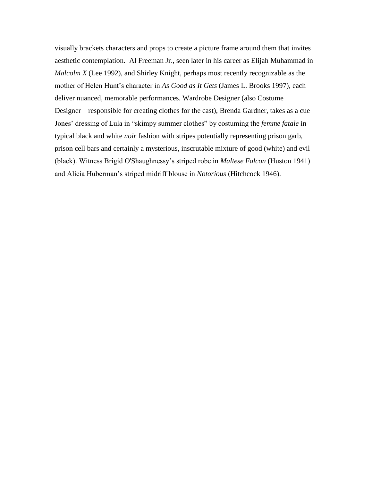visually brackets characters and props to create a picture frame around them that invites aesthetic contemplation. Al Freeman Jr., seen later in his career as Elijah Muhammad in *Malcolm X* (Lee 1992), and Shirley Knight, perhaps most recently recognizable as the mother of Helen Hunt's character in *As Good as It Gets* (James L. Brooks 1997), each deliver nuanced, memorable performances. Wardrobe Designer (also Costume Designer—responsible for creating clothes for the cast), Brenda Gardner, takes as a cue Jones' dressing of Lula in "skimpy summer clothes" by costuming the *femme fatale* in typical black and white *noir* fashion with stripes potentially representing prison garb, prison cell bars and certainly a mysterious, inscrutable mixture of good (white) and evil (black). Witness Brigid O'Shaughnessy's striped robe in *Maltese Falcon* (Huston 1941) and Alicia Huberman's striped midriff blouse in *Notorious* (Hitchcock 1946).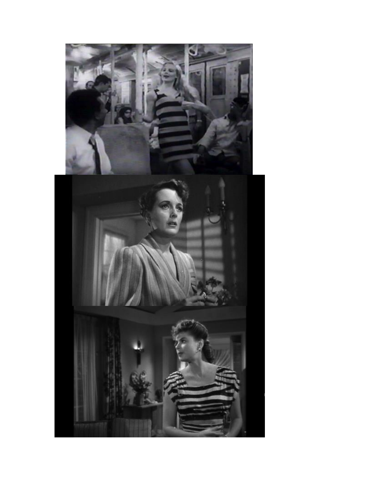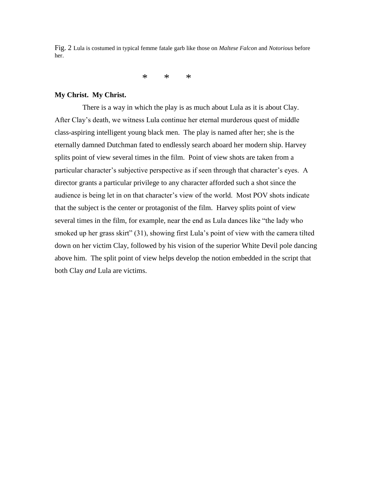Fig. 2 Lula is costumed in typical femme fatale garb like those on *Maltese Falcon* and *Notorious* before her.

\* \* \*

#### **My Christ. My Christ.**

There is a way in which the play is as much about Lula as it is about Clay. After Clay's death, we witness Lula continue her eternal murderous quest of middle class-aspiring intelligent young black men. The play is named after her; she is the eternally damned Dutchman fated to endlessly search aboard her modern ship. Harvey splits point of view several times in the film. Point of view shots are taken from a particular character's subjective perspective as if seen through that character's eyes. A director grants a particular privilege to any character afforded such a shot since the audience is being let in on that character's view of the world. Most POV shots indicate that the subject is the center or protagonist of the film. Harvey splits point of view several times in the film, for example, near the end as Lula dances like "the lady who smoked up her grass skirt" (31), showing first Lula's point of view with the camera tilted down on her victim Clay, followed by his vision of the superior White Devil pole dancing above him. The split point of view helps develop the notion embedded in the script that both Clay *and* Lula are victims.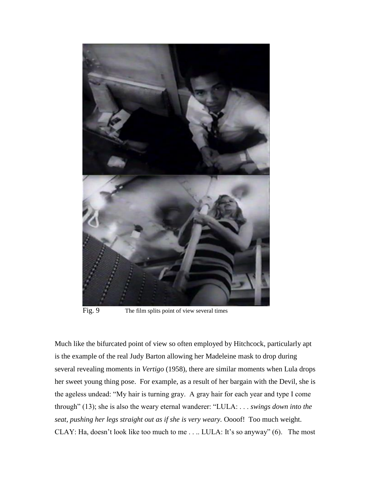

Fig. 9 The film splits point of view several times

Much like the bifurcated point of view so often employed by Hitchcock, particularly apt is the example of the real Judy Barton allowing her Madeleine mask to drop during several revealing moments in *Vertigo* (1958), there are similar moments when Lula drops her sweet young thing pose. For example, as a result of her bargain with the Devil, she is the ageless undead: "My hair is turning gray. A gray hair for each year and type I come through" (13); she is also the weary eternal wanderer: "LULA: . . . *swings down into the seat, pushing her legs straight out as if she is very weary.* Oooof! Too much weight. CLAY: Ha, doesn't look like too much to me . . .. LULA: It's so anyway" (6). The most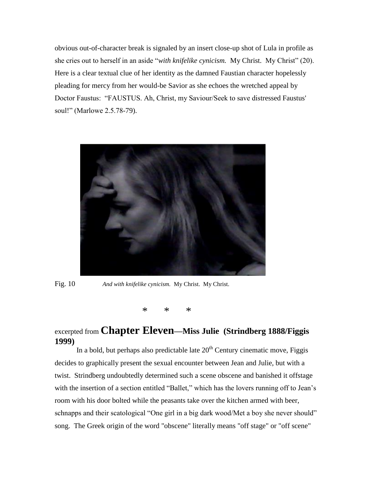obvious out-of-character break is signaled by an insert close-up shot of Lula in profile as she cries out to herself in an aside "*with knifelike cynicism.* My Christ. My Christ" (20). Here is a clear textual clue of her identity as the damned Faustian character hopelessly pleading for mercy from her would-be Savior as she echoes the wretched appeal by Doctor Faustus: "FAUSTUS. Ah, Christ, my Saviour/Seek to save distressed Faustus' soul!" (Marlowe 2.5.78-79).



Fig. 10 *And with knifelike cynicism.* My Christ. My Christ.

\* \* \*

## excerpted from **Chapter Eleven—Miss Julie (Strindberg 1888/Figgis 1999)**

In a bold, but perhaps also predictable late  $20<sup>th</sup>$  Century cinematic move, Figgis decides to graphically present the sexual encounter between Jean and Julie, but with a twist. Strindberg undoubtedly determined such a scene obscene and banished it offstage with the insertion of a section entitled "Ballet," which has the lovers running off to Jean's room with his door bolted while the peasants take over the kitchen armed with beer, schnapps and their scatological "One girl in a big dark wood/Met a boy she never should" song. The Greek origin of the word "obscene" literally means "off stage" or "off scene"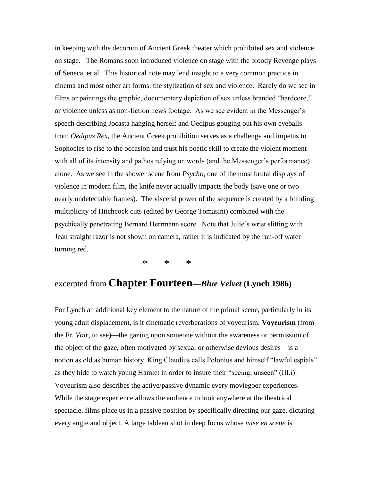in keeping with the decorum of Ancient Greek theater which prohibited sex and violence on stage. The Romans soon introduced violence on stage with the bloody Revenge plays of Seneca, et al. This historical note may lend insight to a very common practice in cinema and most other art forms: the stylization of sex and violence. Rarely do we see in films or paintings the graphic, documentary depiction of sex unless branded "hardcore," or violence unless as non-fiction news footage. As we see evident in the Messenger's speech describing Jocasta hanging herself and Oedipus gouging out his own eyeballs from *Oedipus Rex*, the Ancient Greek prohibition serves as a challenge and impetus to Sophocles to rise to the occasion and trust his poetic skill to create the violent moment with all of its intensity and pathos relying on words (and the Messenger's performance) alone. As we see in the shower scene from *Psycho*, one of the most brutal displays of violence in modern film, the knife never actually impacts the body (save one or two nearly undetectable frames). The visceral power of the sequence is created by a blinding multiplicity of Hitchcock cuts (edited by George Tomasini) combined with the psychically penetrating Bernard Herrmann score. Note that Julie's wrist slitting with Jean straight razor is not shown on camera, rather it is indicated by the run-off water turning red.

\* \* \*

## excerpted from **Chapter Fourteen***—Blue Velvet* **(Lynch 1986)**

For Lynch an additional key element to the nature of the primal scene, particularly in its young adult displacement, is it cinematic reverberations of voyeurism. **Voyeurism** (from the Fr. *Voir*, to see)—the gazing upon someone without the awareness or permission of the object of the gaze, often motivated by sexual or otherwise devious desires—is a notion as old as human history. King Claudius calls Polonius and himself "lawful espials" as they hide to watch young Hamlet in order to insure their "seeing, unseen" (III.i). Voyeurism also describes the active/passive dynamic every moviegoer experiences. While the stage experience allows the audience to look anywhere at the theatrical spectacle, films place us in a passive position by specifically directing our gaze, dictating every angle and object. A large tableau shot in deep focus whose *mise en scene* is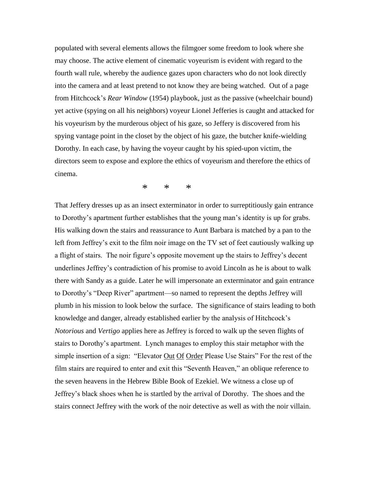populated with several elements allows the filmgoer some freedom to look where she may choose. The active element of cinematic voyeurism is evident with regard to the fourth wall rule, whereby the audience gazes upon characters who do not look directly into the camera and at least pretend to not know they are being watched. Out of a page from Hitchcock's *Rear Window* (1954) playbook, just as the passive (wheelchair bound) yet active (spying on all his neighbors) voyeur Lionel Jefferies is caught and attacked for his voyeurism by the murderous object of his gaze, so Jeffery is discovered from his spying vantage point in the closet by the object of his gaze, the butcher knife-wielding Dorothy. In each case, by having the voyeur caught by his spied-upon victim, the directors seem to expose and explore the ethics of voyeurism and therefore the ethics of cinema.

\* \* \*

That Jeffery dresses up as an insect exterminator in order to surreptitiously gain entrance to Dorothy's apartment further establishes that the young man's identity is up for grabs. His walking down the stairs and reassurance to Aunt Barbara is matched by a pan to the left from Jeffrey's exit to the film noir image on the TV set of feet cautiously walking up a flight of stairs. The noir figure's opposite movement up the stairs to Jeffrey's decent underlines Jeffrey's contradiction of his promise to avoid Lincoln as he is about to walk there with Sandy as a guide. Later he will impersonate an exterminator and gain entrance to Dorothy's "Deep River" apartment—so named to represent the depths Jeffrey will plumb in his mission to look below the surface. The significance of stairs leading to both knowledge and danger, already established earlier by the analysis of Hitchcock's *Notorious* and *Vertigo* applies here as Jeffrey is forced to walk up the seven flights of stairs to Dorothy's apartment. Lynch manages to employ this stair metaphor with the simple insertion of a sign: "Elevator Out Of Order Please Use Stairs" For the rest of the film stairs are required to enter and exit this "Seventh Heaven," an oblique reference to the seven heavens in the Hebrew Bible Book of Ezekiel. We witness a close up of Jeffrey's black shoes when he is startled by the arrival of Dorothy. The shoes and the stairs connect Jeffrey with the work of the noir detective as well as with the noir villain.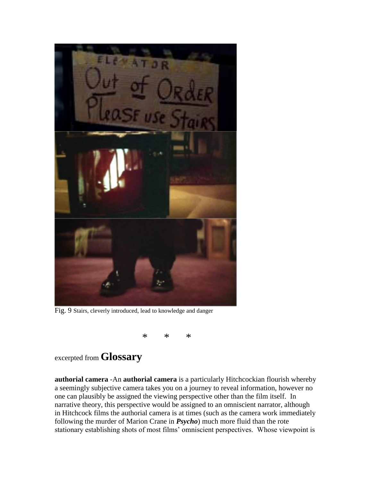

Fig. 9 Stairs, cleverly introduced, lead to knowledge and danger

\* \* \*

## excerpted from **Glossary**

**authorial camera** -An **authorial camera** is a particularly Hitchcockian flourish whereby a seemingly subjective camera takes you on a journey to reveal information, however no one can plausibly be assigned the viewing perspective other than the film itself. In narrative theory, this perspective would be assigned to an omniscient narrator, although in Hitchcock films the authorial camera is at times (such as the camera work immediately following the murder of Marion Crane in *Psycho*) much more fluid than the rote stationary establishing shots of most films' omniscient perspectives. Whose viewpoint is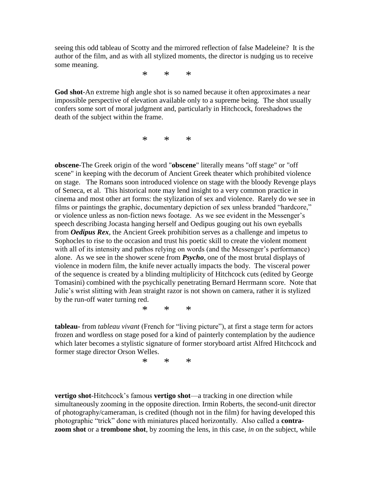seeing this odd tableau of Scotty and the mirrored reflection of false Madeleine? It is the author of the film, and as with all stylized moments, the director is nudging us to receive some meaning.

\* \* \*

**God shot**-An extreme high angle shot is so named because it often approximates a near impossible perspective of elevation available only to a supreme being. The shot usually confers some sort of moral judgment and, particularly in Hitchcock, foreshadows the death of the subject within the frame.

\* \* \*

**obscene**-The Greek origin of the word "**obscene**" literally means "off stage" or "off scene" in keeping with the decorum of Ancient Greek theater which prohibited violence on stage. The Romans soon introduced violence on stage with the bloody Revenge plays of Seneca, et al. This historical note may lend insight to a very common practice in cinema and most other art forms: the stylization of sex and violence. Rarely do we see in films or paintings the graphic, documentary depiction of sex unless branded "hardcore," or violence unless as non-fiction news footage. As we see evident in the Messenger's speech describing Jocasta hanging herself and Oedipus gouging out his own eyeballs from *Oedipus Rex*, the Ancient Greek prohibition serves as a challenge and impetus to Sophocles to rise to the occasion and trust his poetic skill to create the violent moment with all of its intensity and pathos relying on words (and the Messenger's performance) alone. As we see in the shower scene from *Psycho*, one of the most brutal displays of violence in modern film, the knife never actually impacts the body. The visceral power of the sequence is created by a blinding multiplicity of Hitchcock cuts (edited by George Tomasini) combined with the psychically penetrating Bernard Herrmann score. Note that Julie's wrist slitting with Jean straight razor is not shown on camera, rather it is stylized by the run-off water turning red.

\* \* \*

**tableau-** from *tableau vivant* (French for "living picture"), at first a stage term for actors frozen and wordless on stage posed for a kind of painterly contemplation by the audience which later becomes a stylistic signature of former storyboard artist Alfred Hitchcock and former stage director Orson Welles.

\* \* \*

**vertigo shot**-Hitchcock's famous **vertigo shot**—a tracking in one direction while simultaneously zooming in the opposite direction. Irmin Roberts, the second-unit director of photography/cameraman, is credited (though not in the film) for having developed this photographic "trick" done with miniatures placed horizontally. Also called a **contrazoom shot** or a **trombone shot**, by zooming the lens, in this case, *in* on the subject, while